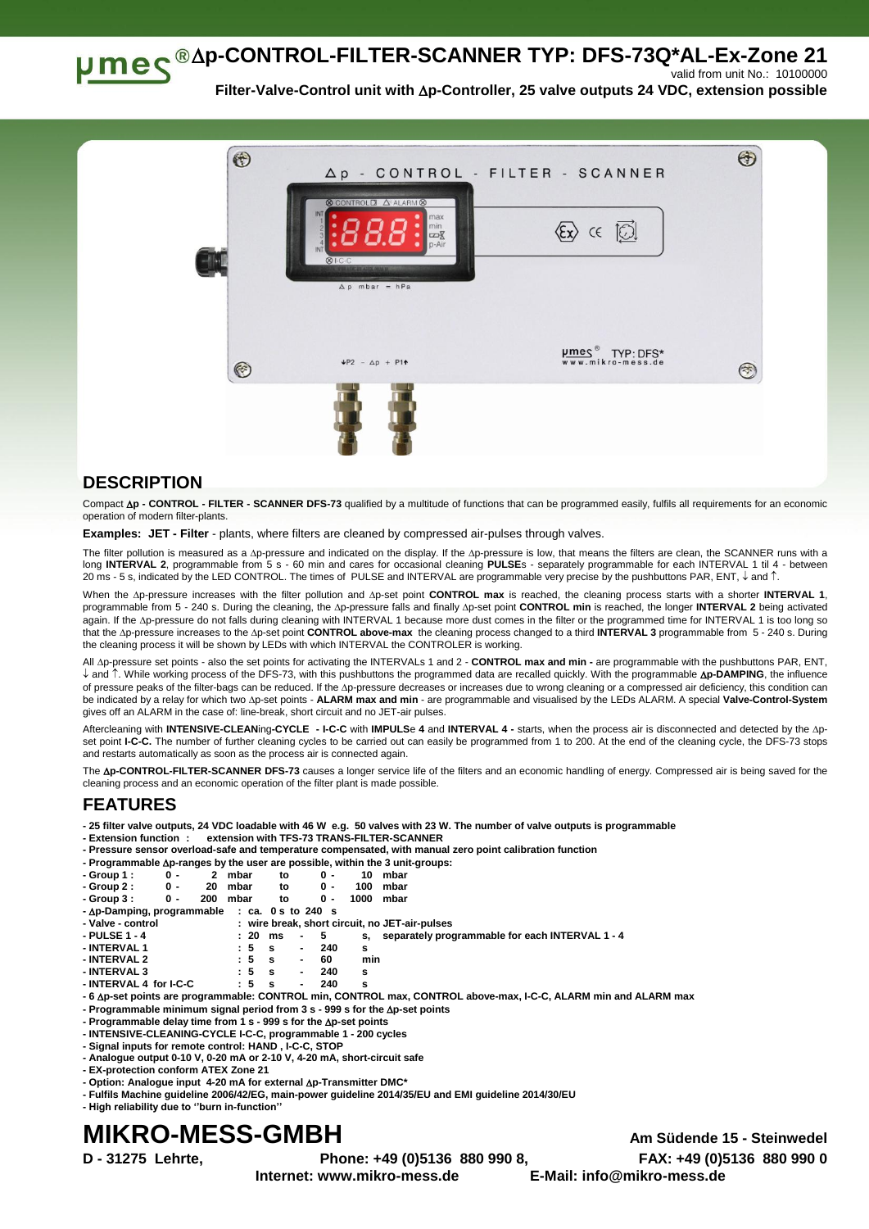**p-CONTROL-FILTER-SCANNER TYP: DFS-73Q\*AL-Ex-Zone 21** 

valid from unit No.: 10100000

**Filter-Valve-Control unit with p-Controller, 25 valve outputs 24 VDC, extension possible**



## **DESCRIPTION**

Compact **p - CONTROL - FILTER - SCANNER DFS-73** qualified by a multitude of functions that can be programmed easily, fulfils all requirements for an economic operation of modern filter-plants.

**Examples: JET - Filter** - plants, where filters are cleaned by compressed air-pulses through valves.

The filter pollution is measured as a Ap-pressure and indicated on the display. If the Ap-pressure is low, that means the filters are clean, the SCANNER runs with a long **INTERVAL 2**, programmable from 5 s - 60 min and cares for occasional cleaning **PULSE**s - separately programmable for each INTERVAL 1 til 4 - between 20 ms - 5 s, indicated by the LED CONTROL. The times of PULSE and INTERVAL are programmable very precise by the pushbuttons PAR, ENT,  $\downarrow$  and  $\uparrow$ .

When the Ap-pressure increases with the filter pollution and Ap-set point CONTROL max is reached, the cleaning process starts with a shorter INTERVAL 1, programmable from 5 - 240 s. During the cleaning, the <sub>AP-Pressure falls and finally Ap-set point CONTROL min is reached, the longer INTERVAL 2 being activated</sub> again. If the Ap-pressure do not falls during cleaning with INTERVAL 1 because more dust comes in the filter or the programmed time for INTERVAL 1 is too long so that the Ap-pressure increases to the Ap-set point CONTROL above-max the cleaning process changed to a third INTERVAL 3 programmable from 5 - 240 s. During the cleaning process it will be shown by LEDs with which INTERVAL the CONTROLER is working.

All Ap-pressure set points - also the set points for activating the INTERVALs 1 and 2 - CONTROL max and min - are programmable with the pushbuttons PAR, ENT, ↓ and 1. While working process of the DFS-73, with this pushbuttons the programmed data are recalled quickly. With the programmable Ap-DAMPING, the influence of pressure peaks of the filter-bags can be reduced. If the Ap-pressure decreases or increases due to wrong cleaning or a compressed air deficiency, this condition can be indicated by a relay for which two p-set points - **ALARM max and min** - are programmable and visualised by the LEDs ALARM. A special **Valve-Control-System** gives off an ALARM in the case of: line-break, short circuit and no JET-air pulses.

Aftercleaning with **INTENSIVE-CLEAN**ing**-CYCLE - I-C-C** with **IMPULS**e **4** and **INTERVAL 4 -** starts, when the process air is disconnected and detected by the pset point I-C-C. The number of further cleaning cycles to be carried out can easily be programmed from 1 to 200. At the end of the cleaning cycle, the DFS-73 stops and restarts automatically as soon as the process air is connected again.

The **Ap-CONTROL-FILTER-SCANNER DFS-73** causes a longer service life of the filters and an economic handling of energy. Compressed air is being saved for the cleaning process and an economic operation of the filter plant is made possible.

## **FEATURES**

**- 25 filter valve outputs, 24 VDC loadable with 46 W e.g. 50 valves with 23 W. The number of valve outputs is programmable**

- **- Extension function : extension with TFS-73 TRANS-FILTER-SCANNER**
- **- Pressure sensor overload-safe and temperature compensated, with manual zero point calibration function**

|                                                       |     |     |      |    |     |      | - Programmable $\Delta p$ -ranges by the user are possible, within the 3 unit-groups: |
|-------------------------------------------------------|-----|-----|------|----|-----|------|---------------------------------------------------------------------------------------|
| - Group 1 :                                           | 0 - |     | mbar | to | ი - | 10.  | mbar                                                                                  |
| - Group 2 :                                           | 0 - | 20  | mbar | to | 0 - | 100  | mbar                                                                                  |
| - Group 3 :                                           | 0 - | 200 | mbar | to | ი - | 1000 | mbar                                                                                  |
| $-\Delta p$ -Damping, programmable : ca. 0 s to 240 s |     |     |      |    |     |      |                                                                                       |

| - Valve - control | : wire break, short circuit, no JET-air-pulses |
|-------------------|------------------------------------------------|

**- PULSE 1 - 4 : 20 ms - 5 s, separately programmable for each INTERVAL 1 - 4**

| - INTERVAL 1 | : 5     | s    | $\overline{\phantom{a}}$ | 240 |     |
|--------------|---------|------|--------------------------|-----|-----|
| - INTERVAL 2 | $\pm 5$ | - 5  | $\sim$                   | 60  | min |
| - INTERVAL 3 | : 5     | - 53 | $\blacksquare$           | 240 |     |

- **- INTERVAL 4 for I-C-C : 5 s - 240 s**
- **- 6 p-set points are programmable: CONTROL min, CONTROL max, CONTROL above-max, I-C-C, ALARM min and ALARM max**
- **- Programmable minimum signal period from 3 s - 999 s for the p-set points**
- **- Programmable delay time from 1 s - 999 s for the p-set points**
- **- INTENSIVE-CLEANING-CYCLE I-C-C, programmable 1 - 200 cycles - Signal inputs for remote control: HAND , I-C-C, STOP**
- **- Analogue output 0-10 V, 0-20 mA or 2-10 V, 4-20 mA, short-circuit safe**
- **- EX-protection conform ATEX Zone 21**
- **- Option: Analogue input 4-20 mA for external p-Transmitter DMC\***
- **- Fulfils Machine guideline 2006/42/EG, main-power guideline 2014/35/EU and EMI guideline 2014/30/EU**

**- High reliability due to ''burn in-function''**

## **MIKRO-MESS-GMBH Am Südende 15 - Steinwedel**

**Internet: www.mikro-mess.de E-Mail: info@mikro-mess.de**

**D - 31275 Lehrte, Phone: +49 (0)5136 880 990 8, FAX: +49 (0)5136 880 990 0**